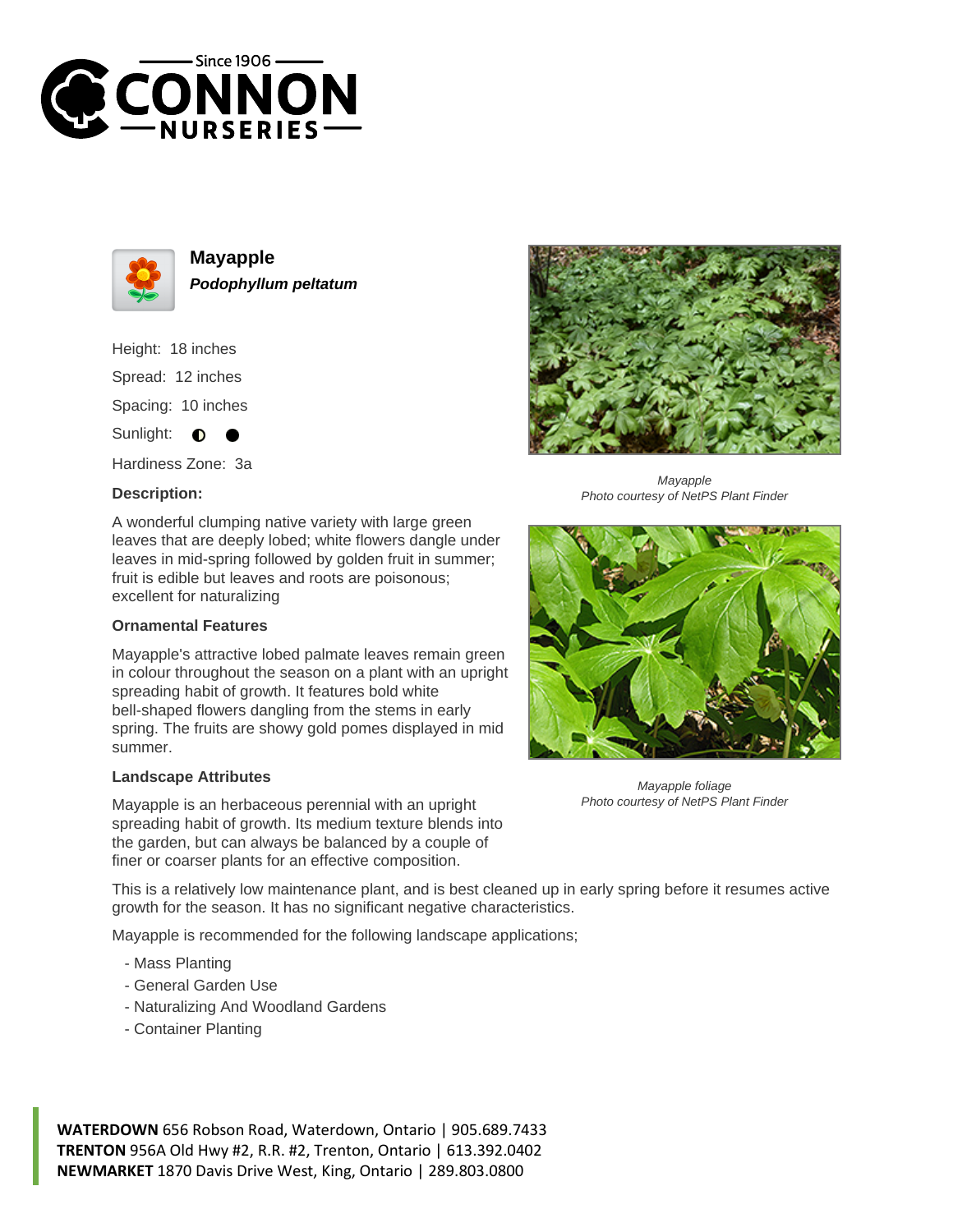



**Mayapple Podophyllum peltatum**

Height: 18 inches Spread: 12 inches Spacing: 10 inches Sunlight: **O** 

Hardiness Zone: 3a

## **Description:**

A wonderful clumping native variety with large green leaves that are deeply lobed; white flowers dangle under leaves in mid-spring followed by golden fruit in summer; fruit is edible but leaves and roots are poisonous; excellent for naturalizing

## **Ornamental Features**

Mayapple's attractive lobed palmate leaves remain green in colour throughout the season on a plant with an upright spreading habit of growth. It features bold white bell-shaped flowers dangling from the stems in early spring. The fruits are showy gold pomes displayed in mid summer.

## **Landscape Attributes**

Mayapple is an herbaceous perennial with an upright spreading habit of growth. Its medium texture blends into the garden, but can always be balanced by a couple of finer or coarser plants for an effective composition.

Mayapple Photo courtesy of NetPS Plant Finder



Mayapple foliage Photo courtesy of NetPS Plant Finder

This is a relatively low maintenance plant, and is best cleaned up in early spring before it resumes active growth for the season. It has no significant negative characteristics.

Mayapple is recommended for the following landscape applications;

- Mass Planting
- General Garden Use
- Naturalizing And Woodland Gardens
- Container Planting

**WATERDOWN** 656 Robson Road, Waterdown, Ontario | 905.689.7433 **TRENTON** 956A Old Hwy #2, R.R. #2, Trenton, Ontario | 613.392.0402 **NEWMARKET** 1870 Davis Drive West, King, Ontario | 289.803.0800